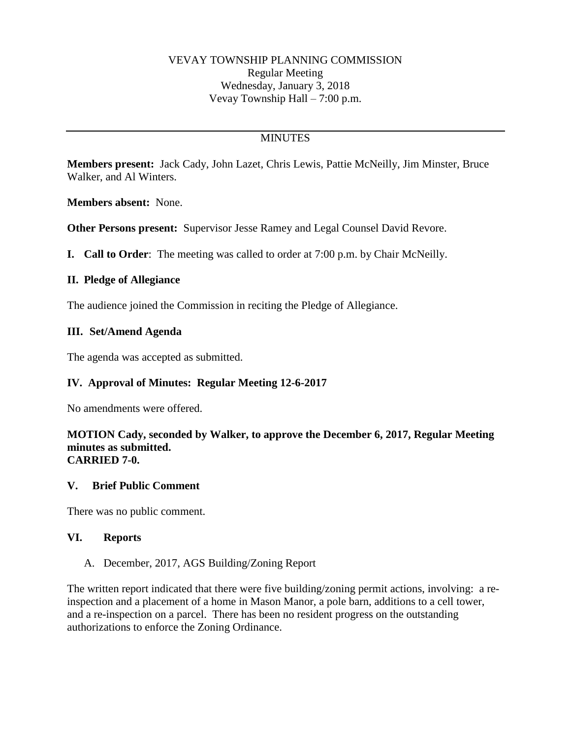# **MINUTES**

**Members present:** Jack Cady, John Lazet, Chris Lewis, Pattie McNeilly, Jim Minster, Bruce Walker, and Al Winters.

**Members absent:** None.

**Other Persons present:** Supervisor Jesse Ramey and Legal Counsel David Revore.

**I. Call to Order**: The meeting was called to order at 7:00 p.m. by Chair McNeilly.

## **II. Pledge of Allegiance**

The audience joined the Commission in reciting the Pledge of Allegiance.

## **III. Set/Amend Agenda**

The agenda was accepted as submitted.

## **IV. Approval of Minutes: Regular Meeting 12-6-2017**

No amendments were offered.

#### **MOTION Cady, seconded by Walker, to approve the December 6, 2017, Regular Meeting minutes as submitted. CARRIED 7-0.**

#### **V. Brief Public Comment**

There was no public comment.

#### **VI. Reports**

#### A. December, 2017, AGS Building/Zoning Report

The written report indicated that there were five building/zoning permit actions, involving: a reinspection and a placement of a home in Mason Manor, a pole barn, additions to a cell tower, and a re-inspection on a parcel. There has been no resident progress on the outstanding authorizations to enforce the Zoning Ordinance.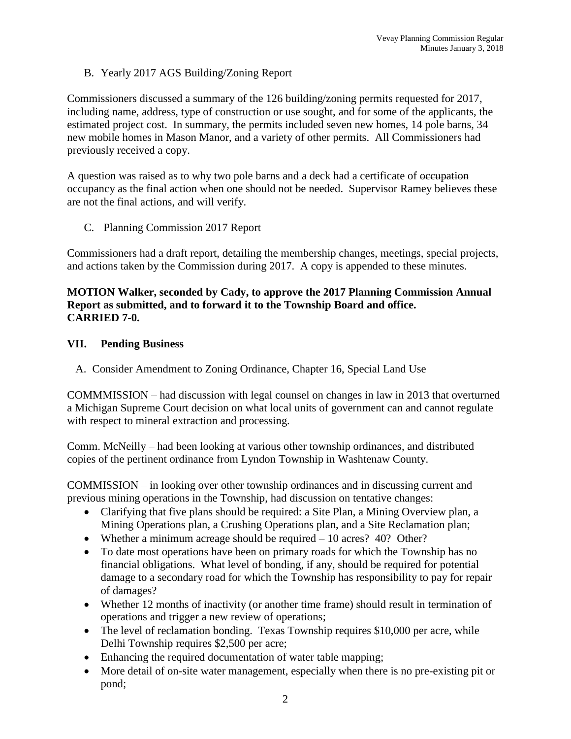B. Yearly 2017 AGS Building/Zoning Report

Commissioners discussed a summary of the 126 building/zoning permits requested for 2017, including name, address, type of construction or use sought, and for some of the applicants, the estimated project cost. In summary, the permits included seven new homes, 14 pole barns, 34 new mobile homes in Mason Manor, and a variety of other permits. All Commissioners had previously received a copy.

A question was raised as to why two pole barns and a deck had a certificate of occupation occupancy as the final action when one should not be needed. Supervisor Ramey believes these are not the final actions, and will verify.

C. Planning Commission 2017 Report

Commissioners had a draft report, detailing the membership changes, meetings, special projects, and actions taken by the Commission during 2017. A copy is appended to these minutes.

## **MOTION Walker, seconded by Cady, to approve the 2017 Planning Commission Annual Report as submitted, and to forward it to the Township Board and office. CARRIED 7-0.**

## **VII. Pending Business**

A. Consider Amendment to Zoning Ordinance, Chapter 16, Special Land Use

COMMMISSION – had discussion with legal counsel on changes in law in 2013 that overturned a Michigan Supreme Court decision on what local units of government can and cannot regulate with respect to mineral extraction and processing.

Comm. McNeilly – had been looking at various other township ordinances, and distributed copies of the pertinent ordinance from Lyndon Township in Washtenaw County.

COMMISSION – in looking over other township ordinances and in discussing current and previous mining operations in the Township, had discussion on tentative changes:

- Clarifying that five plans should be required: a Site Plan, a Mining Overview plan, a Mining Operations plan, a Crushing Operations plan, and a Site Reclamation plan;
- Whether a minimum acreage should be required 10 acres? 40? Other?
- To date most operations have been on primary roads for which the Township has no financial obligations. What level of bonding, if any, should be required for potential damage to a secondary road for which the Township has responsibility to pay for repair of damages?
- Whether 12 months of inactivity (or another time frame) should result in termination of operations and trigger a new review of operations;
- The level of reclamation bonding. Texas Township requires \$10,000 per acre, while Delhi Township requires \$2,500 per acre;
- Enhancing the required documentation of water table mapping;
- More detail of on-site water management, especially when there is no pre-existing pit or pond;